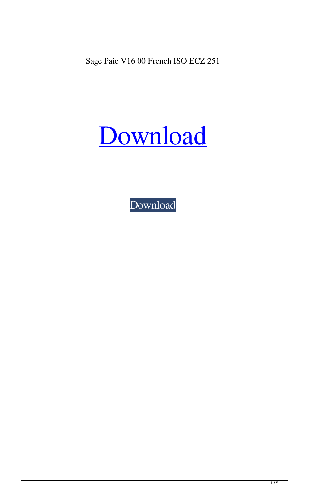Sage Paie V16 00 French ISO ECZ 251

## Download

Download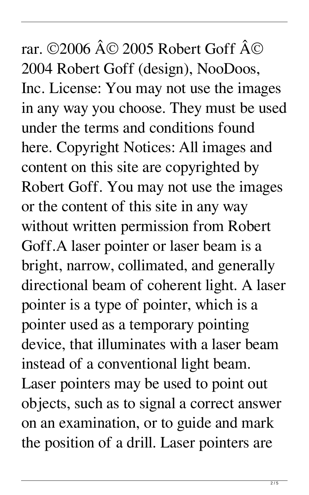rar. ©2006 © 2005 Robert Goff © 2004 Robert Goff (design), NooDoos, Inc. License: You may not use the images in any way you choose. They must be used under the terms and conditions found here. Copyright Notices: All images and content on this site are copyrighted by Robert Goff. You may not use the images or the content of this site in any way without written permission from Robert Goff.A laser pointer or laser beam is a bright, narrow, collimated, and generally directional beam of coherent light. A laser pointer is a type of pointer, which is a pointer used as a temporary pointing device, that illuminates with a laser beam instead of a conventional light beam. Laser pointers may be used to point out objects, such as to signal a correct answer on an examination, or to guide and mark the position of a drill. Laser pointers are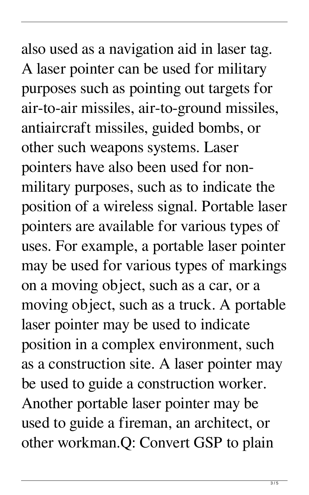also used as a navigation aid in laser tag. A laser pointer can be used for military purposes such as pointing out targets for air-to-air missiles, air-to-ground missiles, antiaircraft missiles, guided bombs, or other such weapons systems. Laser pointers have also been used for nonmilitary purposes, such as to indicate the position of a wireless signal. Portable laser pointers are available for various types of uses. For example, a portable laser pointer may be used for various types of markings on a moving object, such as a car, or a moving object, such as a truck. A portable laser pointer may be used to indicate position in a complex environment, such as a construction site. A laser pointer may be used to guide a construction worker. Another portable laser pointer may be used to guide a fireman, an architect, or other workman.Q: Convert GSP to plain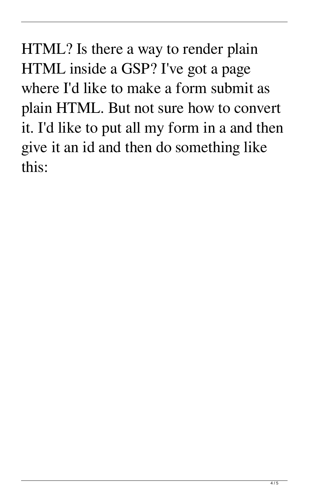HTML? Is there a way to render plain HTML inside a GSP? I've got a page where I'd like to make a form submit as plain HTML. But not sure how to convert it. I'd like to put all my form in a and then give it an id and then do something like this: